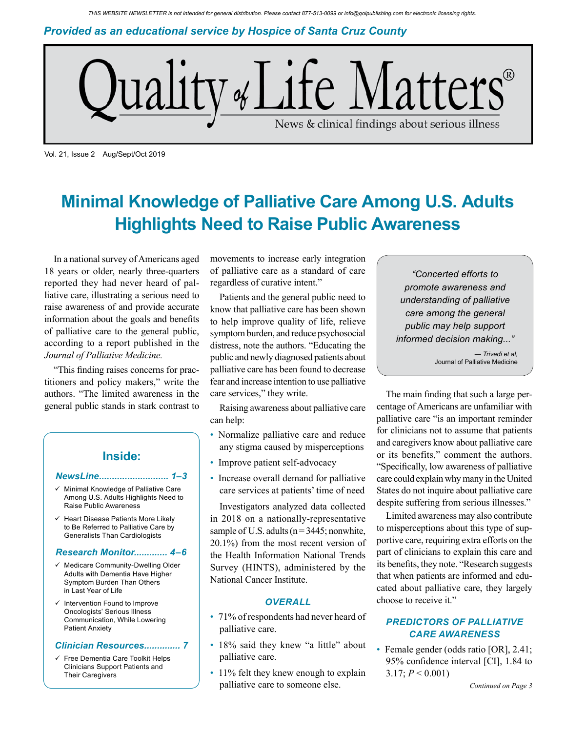*Provided as an educational service by Hospice of Santa Cruz County*



Vol. 21, Issue 2 Aug/Sept/Oct 2019

# **Minimal Knowledge of Palliative Care Among U.S. Adults Highlights Need to Raise Public Awareness**

In a national survey of Americans aged 18 years or older, nearly three-quarters reported they had never heard of palliative care, illustrating a serious need to raise awareness of and provide accurate information about the goals and benefits of palliative care to the general public, according to a report published in the *Journal of Palliative Medicine.*

"This finding raises concerns for practitioners and policy makers," write the authors. "The limited awareness in the general public stands in stark contrast to

## **Inside:**

#### *NewsLine........................... 1–3*

- Minimal Knowledge of Palliative Care Among U.S. Adults Highlights Need to Raise Public Awareness
- $\checkmark$  Heart Disease Patients More Likely to Be Referred to Palliative Care by Generalists Than Cardiologists

#### *Research Monitor............. 4–6*

- $\checkmark$  Medicare Community-Dwelling Older Adults with Dementia Have Higher Symptom Burden Than Others in Last Year of Life
- Intervention Found to Improve Oncologists' Serious Illness Communication, While Lowering Patient Anxiety

#### *Clinician Resources.............. 7*

 $\checkmark$  Free Dementia Care Toolkit Helps Clinicians Support Patients and Their Caregivers

movements to increase early integration of palliative care as a standard of care regardless of curative intent."

Patients and the general public need to know that palliative care has been shown to help improve quality of life, relieve symptom burden, and reduce psychosocial distress, note the authors. "Educating the public and newly diagnosed patients about palliative care has been found to decrease fear and increase intention to use palliative care services," they write.

Raising awareness about palliative care can help:

- Normalize palliative care and reduce any stigma caused by misperceptions
- Improve patient self-advocacy
- Increase overall demand for palliative care services at patients' time of need

Investigators analyzed data collected in 2018 on a nationally-representative sample of U.S. adults ( $n = 3445$ ; nonwhite, 20.1%) from the most recent version of the Health Information National Trends Survey (HINTS), administered by the National Cancer Institute.

### *OVERALL*

- 71% of respondents had never heard of palliative care.
- 18% said they knew "a little" about palliative care.
- 11% felt they knew enough to explain palliative care to someone else.

*"Concerted efforts to promote awareness and understanding of palliative care among the general public may help support informed decision making..."*

> *— Trivedi et al,* Journal of Palliative Medicine

The main finding that such a large percentage of Americans are unfamiliar with palliative care "is an important reminder for clinicians not to assume that patients and caregivers know about palliative care or its benefits," comment the authors. "Specifically, low awareness of palliative care could explain why many in the United States do not inquire about palliative care despite suffering from serious illnesses."

Limited awareness may also contribute to misperceptions about this type of supportive care, requiring extra efforts on the part of clinicians to explain this care and its benefits, they note. "Research suggests that when patients are informed and educated about palliative care, they largely choose to receive it."

### *PREDICTORS OF PALLIATIVE CARE AWARENESS*

• Female gender (odds ratio [OR], 2.41; 95% confidence interval [CI], 1.84 to 3.17;  $P < 0.001$ )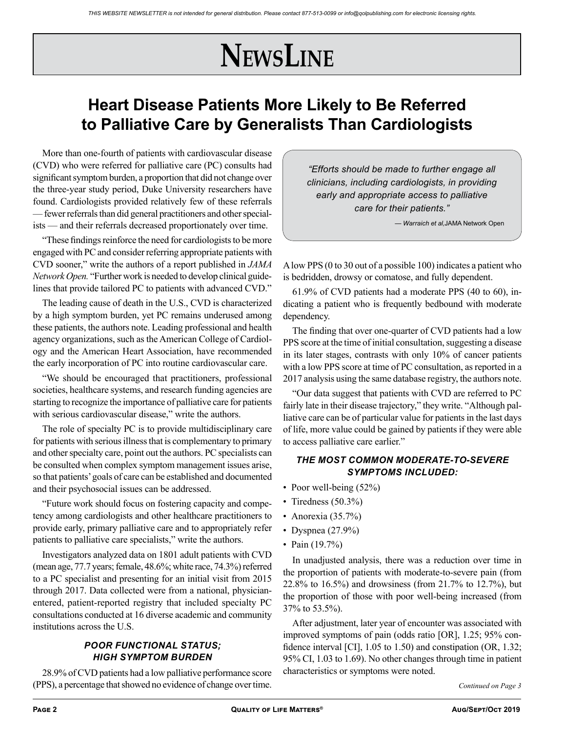# **NewsLine**

# **Heart Disease Patients More Likely to Be Referred to Palliative Care by Generalists Than Cardiologists**

More than one-fourth of patients with cardiovascular disease (CVD) who were referred for palliative care (PC) consults had significant symptom burden, a proportion that did not change over the three-year study period, Duke University researchers have found. Cardiologists provided relatively few of these referrals — fewer referrals than did general practitioners and other specialists — and their referrals decreased proportionately over time.

"These findings reinforce the need for cardiologists to be more engaged with PC and consider referring appropriate patients with CVD sooner," write the authors of a report published in *JAMA Network Open.* "Further work is needed to develop clinical guidelines that provide tailored PC to patients with advanced CVD."

The leading cause of death in the U.S., CVD is characterized by a high symptom burden, yet PC remains underused among these patients, the authors note. Leading professional and health agency organizations, such as the American College of Cardiology and the American Heart Association, have recommended the early incorporation of PC into routine cardiovascular care.

"We should be encouraged that practitioners, professional societies, healthcare systems, and research funding agencies are starting to recognize the importance of palliative care for patients with serious cardiovascular disease," write the authors.

The role of specialty PC is to provide multidisciplinary care for patients with serious illness that is complementary to primary and other specialty care, point out the authors. PC specialists can be consulted when complex symptom management issues arise, so that patients' goals of care can be established and documented and their psychosocial issues can be addressed.

"Future work should focus on fostering capacity and competency among cardiologists and other healthcare practitioners to provide early, primary palliative care and to appropriately refer patients to palliative care specialists," write the authors.

Investigators analyzed data on 1801 adult patients with CVD (mean age, 77.7 years; female, 48.6%; white race, 74.3%) referred to a PC specialist and presenting for an initial visit from 2015 through 2017. Data collected were from a national, physicianentered, patient-reported registry that included specialty PC consultations conducted at 16 diverse academic and community institutions across the U.S.

## *POOR FUNCTIONAL STATUS; HIGH SYMPTOM BURDEN*

28.9% of CVD patients had a low palliative performance score (PPS), a percentage that showed no evidence of change over time. *Continued on Page 3*

*"Efforts should be made to further engage all clinicians, including cardiologists, in providing early and appropriate access to palliative care for their patients."* 

*— Warraich et al,*JAMA Network Open

A low PPS (0 to 30 out of a possible 100) indicates a patient who is bedridden, drowsy or comatose, and fully dependent.

61.9% of CVD patients had a moderate PPS (40 to 60), indicating a patient who is frequently bedbound with moderate dependency.

The finding that over one-quarter of CVD patients had a low PPS score at the time of initial consultation, suggesting a disease in its later stages, contrasts with only 10% of cancer patients with a low PPS score at time of PC consultation, as reported in a 2017 analysis using the same database registry, the authors note.

"Our data suggest that patients with CVD are referred to PC fairly late in their disease trajectory," they write. "Although palliative care can be of particular value for patients in the last days of life, more value could be gained by patients if they were able to access palliative care earlier."

## *THE MOST COMMON MODERATE-TO-SEVERE SYMPTOMS INCLUDED:*

- Poor well-being (52%)
- Tiredness (50.3%)
- Anorexia  $(35.7\%)$
- Dyspnea  $(27.9\%)$
- Pain (19.7%)

In unadjusted analysis, there was a reduction over time in the proportion of patients with moderate-to-severe pain (from 22.8% to 16.5%) and drowsiness (from 21.7% to 12.7%), but the proportion of those with poor well-being increased (from 37% to 53.5%).

After adjustment, later year of encounter was associated with improved symptoms of pain (odds ratio [OR], 1.25; 95% confidence interval [CI], 1.05 to 1.50) and constipation (OR, 1.32; 95% CI, 1.03 to 1.69). No other changes through time in patient characteristics or symptoms were noted.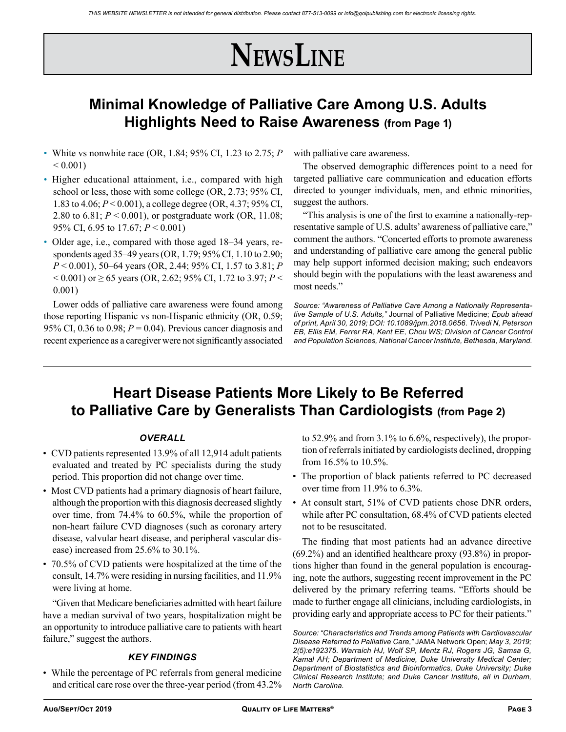# **NewsLine**

## **Minimal Knowledge of Palliative Care Among U.S. Adults Highlights Need to Raise Awareness (from Page 1)**

- White vs nonwhite race (OR, 1.84; 95% CI, 1.23 to 2.75; *P*  $< 0.001$
- Higher educational attainment, i.e., compared with high school or less, those with some college (OR, 2.73; 95% CI, 1.83 to 4.06; *P* < 0.001), a college degree (OR, 4.37; 95% CI, 2.80 to 6.81; *P* < 0.001), or postgraduate work (OR, 11.08; 95% CI, 6.95 to 17.67; *P* < 0.001)
- Older age, i.e., compared with those aged 18–34 years, respondents aged 35–49 years (OR, 1.79; 95% CI, 1.10 to 2.90; *P* < 0.001), 50–64 years (OR, 2.44; 95% CI, 1.57 to 3.81; *P*  $<$  0.001) or  $\geq$  65 years (OR, 2.62; 95% CI, 1.72 to 3.97; *P*  $<$ 0.001)

Lower odds of palliative care awareness were found among those reporting Hispanic vs non-Hispanic ethnicity (OR, 0.59; 95% CI, 0.36 to 0.98;  $P = 0.04$ ). Previous cancer diagnosis and recent experience as a caregiver were not significantly associated with palliative care awareness.

The observed demographic differences point to a need for targeted palliative care communication and education efforts directed to younger individuals, men, and ethnic minorities, suggest the authors.

"This analysis is one of the first to examine a nationally-representative sample of U.S. adults' awareness of palliative care," comment the authors. "Concerted efforts to promote awareness and understanding of palliative care among the general public may help support informed decision making; such endeavors should begin with the populations with the least awareness and most needs."

*Source: "Awareness of Palliative Care Among a Nationally Representative Sample of U.S. Adults,"* Journal of Palliative Medicine; *Epub ahead of print, April 30, 2019; DOI: 10.1089/jpm.2018.0656. Trivedi N, Peterson EB, Ellis EM, Ferrer RA, Kent EE, Chou WS; Division of Cancer Control and Population Sciences, National Cancer Institute, Bethesda, Maryland.*

## **Heart Disease Patients More Likely to Be Referred to Palliative Care by Generalists Than Cardiologists (from Page 2)**

### *OVERALL*

- CVD patients represented 13.9% of all 12,914 adult patients evaluated and treated by PC specialists during the study period. This proportion did not change over time.
- Most CVD patients had a primary diagnosis of heart failure, although the proportion with this diagnosis decreased slightly over time, from 74.4% to 60.5%, while the proportion of non-heart failure CVD diagnoses (such as coronary artery disease, valvular heart disease, and peripheral vascular disease) increased from 25.6% to 30.1%.
- 70.5% of CVD patients were hospitalized at the time of the consult, 14.7% were residing in nursing facilities, and 11.9% were living at home.

"Given that Medicare beneficiaries admitted with heart failure have a median survival of two years, hospitalization might be an opportunity to introduce palliative care to patients with heart failure," suggest the authors.

### *KEY FINDINGS*

• While the percentage of PC referrals from general medicine and critical care rose over the three-year period (from 43.2% to 52.9% and from 3.1% to 6.6%, respectively), the proportion of referrals initiated by cardiologists declined, dropping from 16.5% to 10.5%.

- The proportion of black patients referred to PC decreased over time from 11.9% to 6.3%.
- At consult start, 51% of CVD patients chose DNR orders, while after PC consultation, 68.4% of CVD patients elected not to be resuscitated.

The finding that most patients had an advance directive (69.2%) and an identified healthcare proxy (93.8%) in proportions higher than found in the general population is encouraging, note the authors, suggesting recent improvement in the PC delivered by the primary referring teams. "Efforts should be made to further engage all clinicians, including cardiologists, in providing early and appropriate access to PC for their patients."

*Source: "Characteristics and Trends among Patients with Cardiovascular Disease Referred to Palliative Care,"* JAMA Network Open; *May 3, 2019; 2(5):e192375. Warraich HJ, Wolf SP, Mentz RJ, Rogers JG, Samsa G, Kamal AH; Department of Medicine, Duke University Medical Center; Department of Biostatistics and Bioinformatics, Duke University; Duke Clinical Research Institute; and Duke Cancer Institute, all in Durham, North Carolina.*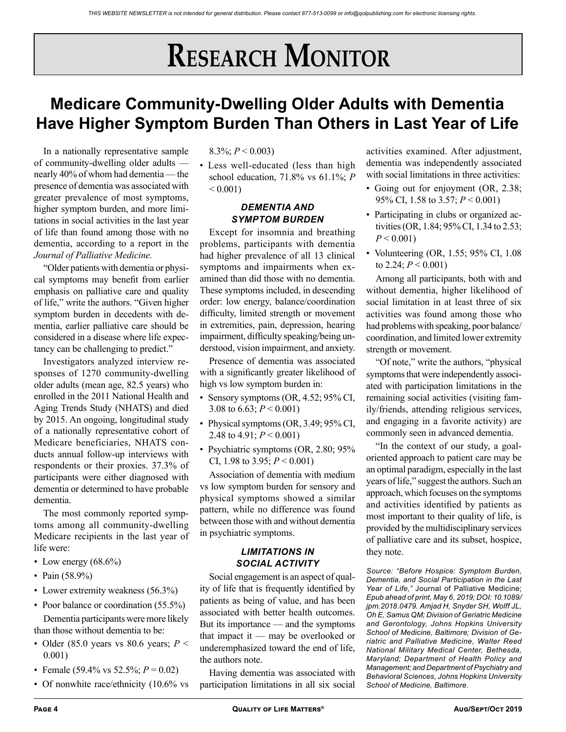# **RESEARCH MONITOR**

# **Medicare Community-Dwelling Older Adults with Dementia Have Higher Symptom Burden Than Others in Last Year of Life**

In a nationally representative sample of community-dwelling older adults nearly 40% of whom had dementia — the presence of dementia was associated with greater prevalence of most symptoms, higher symptom burden, and more limitations in social activities in the last year of life than found among those with no dementia, according to a report in the *Journal of Palliative Medicine.*

"Older patients with dementia or physical symptoms may benefit from earlier emphasis on palliative care and quality of life," write the authors. "Given higher symptom burden in decedents with dementia, earlier palliative care should be considered in a disease where life expectancy can be challenging to predict."

Investigators analyzed interview responses of 1270 community-dwelling older adults (mean age, 82.5 years) who enrolled in the 2011 National Health and Aging Trends Study (NHATS) and died by 2015. An ongoing, longitudinal study of a nationally representative cohort of Medicare beneficiaries, NHATS conducts annual follow-up interviews with respondents or their proxies. 37.3% of participants were either diagnosed with dementia or determined to have probable dementia.

The most commonly reported symptoms among all community-dwelling Medicare recipients in the last year of life were:

- Low energy  $(68.6\%)$
- Pain  $(58.9\%)$
- Lower extremity weakness (56.3%)
- Poor balance or coordination (55.5%)
- Dementia participants were more likely than those without dementia to be:
- Older (85.0 years vs 80.6 years; *P* < 0.001)
- Female (59.4% vs 52.5%;  $P = 0.02$ )
- Of nonwhite race/ethnicity (10.6% vs

### 8.3%; *P* < 0.003)

• Less well-educated (less than high school education, 71.8% vs 61.1%; *P*   $< 0.001$ )

### *DEMENTIA AND SYMPTOM BURDEN*

Except for insomnia and breathing problems, participants with dementia had higher prevalence of all 13 clinical symptoms and impairments when examined than did those with no dementia. These symptoms included, in descending order: low energy, balance/coordination difficulty, limited strength or movement in extremities, pain, depression, hearing impairment, difficulty speaking/being understood, vision impairment, and anxiety.

Presence of dementia was associated with a significantly greater likelihood of high vs low symptom burden in:

- Sensory symptoms (OR, 4.52; 95% CI, 3.08 to  $6.63$ ;  $P < 0.001$ )
- Physical symptoms (OR, 3.49; 95% CI, 2.48 to  $4.91$ ;  $P < 0.001$ )
- Psychiatric symptoms (OR, 2.80; 95% CI, 1.98 to 3.95; *P* < 0.001)

Association of dementia with medium vs low symptom burden for sensory and physical symptoms showed a similar pattern, while no difference was found between those with and without dementia in psychiatric symptoms.

### *LIMITATIONS IN SOCIAL ACTIVITY*

Social engagement is an aspect of quality of life that is frequently identified by patients as being of value, and has been associated with better health outcomes. But its importance — and the symptoms that impact it — may be overlooked or underemphasized toward the end of life, the authors note.

Having dementia was associated with participation limitations in all six social activities examined. After adjustment, dementia was independently associated with social limitations in three activities:

- Going out for enjoyment (OR, 2.38; 95% CI, 1.58 to 3.57; *P* < 0.001)
- Participating in clubs or organized activities (OR, 1.84; 95% CI, 1.34 to 2.53;  $P < 0.001$
- Volunteering (OR, 1.55; 95% CI, 1.08 to 2.24;  $P < 0.001$ )

Among all participants, both with and without dementia, higher likelihood of social limitation in at least three of six activities was found among those who had problems with speaking, poor balance/ coordination, and limited lower extremity strength or movement.

"Of note," write the authors, "physical symptoms that were independently associated with participation limitations in the remaining social activities (visiting family/friends, attending religious services, and engaging in a favorite activity) are commonly seen in advanced dementia.

"In the context of our study, a goaloriented approach to patient care may be an optimal paradigm, especially in the last years of life," suggest the authors. Such an approach, which focuses on the symptoms and activities identified by patients as most important to their quality of life, is provided by the multidisciplinary services of palliative care and its subset, hospice, they note.

*Source: "Before Hospice: Symptom Burden, Dementia, and Social Participation in the Last Year of Life,"* Journal of Palliative Medicine; *Epub ahead of print, May 6, 2019; DOI: 10.1089/ jpm.2018.0479. Amjad H, Snyder SH, Wolff JL, Oh E, Samus QM; Division of Geriatric Medicine and Gerontology, Johns Hopkins University School of Medicine, Baltimore; Division of Geriatric and Palliative Medicine, Walter Reed National Military Medical Center, Bethesda, Maryland; Department of Health Policy and Management; and Department of Psychiatry and Behavioral Sciences, Johns Hopkins University School of Medicine, Baltimore.*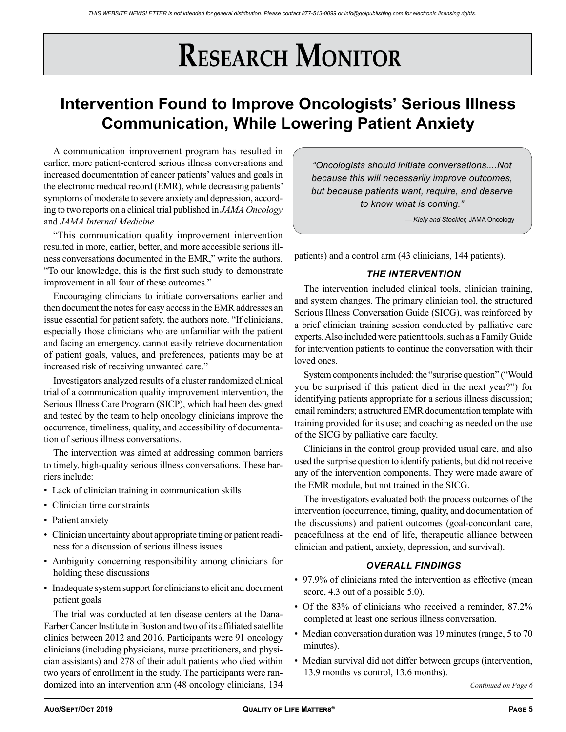# **RESEARCH MONITOR**

# **Intervention Found to Improve Oncologists' Serious Illness Communication, While Lowering Patient Anxiety**

A communication improvement program has resulted in earlier, more patient-centered serious illness conversations and increased documentation of cancer patients' values and goals in the electronic medical record (EMR), while decreasing patients' symptoms of moderate to severe anxiety and depression, according to two reports on a clinical trial published in *JAMA Oncology* and *JAMA Internal Medicine.*

"This communication quality improvement intervention resulted in more, earlier, better, and more accessible serious illness conversations documented in the EMR," write the authors. "To our knowledge, this is the first such study to demonstrate improvement in all four of these outcomes."

Encouraging clinicians to initiate conversations earlier and then document the notes for easy access in the EMR addresses an issue essential for patient safety, the authors note. "If clinicians, especially those clinicians who are unfamiliar with the patient and facing an emergency, cannot easily retrieve documentation of patient goals, values, and preferences, patients may be at increased risk of receiving unwanted care."

Investigators analyzed results of a cluster randomized clinical trial of a communication quality improvement intervention, the Serious Illness Care Program (SICP), which had been designed and tested by the team to help oncology clinicians improve the occurrence, timeliness, quality, and accessibility of documentation of serious illness conversations.

The intervention was aimed at addressing common barriers to timely, high-quality serious illness conversations. These barriers include:

- Lack of clinician training in communication skills
- Clinician time constraints
- Patient anxiety
- Clinician uncertainty about appropriate timing or patient readiness for a discussion of serious illness issues
- Ambiguity concerning responsibility among clinicians for holding these discussions
- Inadequate system support for clinicians to elicit and document patient goals

The trial was conducted at ten disease centers at the Dana-Farber Cancer Institute in Boston and two of its affiliated satellite clinics between 2012 and 2016. Participants were 91 oncology clinicians (including physicians, nurse practitioners, and physician assistants) and 278 of their adult patients who died within two years of enrollment in the study. The participants were randomized into an intervention arm (48 oncology clinicians, 134

*"Oncologists should initiate conversations....Not because this will necessarily improve outcomes, but because patients want, require, and deserve to know what is coming."* 

*— Kiely and Stockler,* JAMA Oncology

patients) and a control arm (43 clinicians, 144 patients).

### *THE INTERVENTION*

The intervention included clinical tools, clinician training, and system changes. The primary clinician tool, the structured Serious Illness Conversation Guide (SICG), was reinforced by a brief clinician training session conducted by palliative care experts. Also included were patient tools, such as a Family Guide for intervention patients to continue the conversation with their loved ones.

System components included: the "surprise question" ("Would you be surprised if this patient died in the next year?") for identifying patients appropriate for a serious illness discussion; email reminders; a structured EMR documentation template with training provided for its use; and coaching as needed on the use of the SICG by palliative care faculty.

Clinicians in the control group provided usual care, and also used the surprise question to identify patients, but did not receive any of the intervention components. They were made aware of the EMR module, but not trained in the SICG.

The investigators evaluated both the process outcomes of the intervention (occurrence, timing, quality, and documentation of the discussions) and patient outcomes (goal-concordant care, peacefulness at the end of life, therapeutic alliance between clinician and patient, anxiety, depression, and survival).

### *OVERALL FINDINGS*

- 97.9% of clinicians rated the intervention as effective (mean score, 4.3 out of a possible 5.0).
- Of the 83% of clinicians who received a reminder, 87.2% completed at least one serious illness conversation.
- Median conversation duration was 19 minutes (range, 5 to 70 minutes).
- Median survival did not differ between groups (intervention, 13.9 months vs control, 13.6 months).

*Continued on Page 6*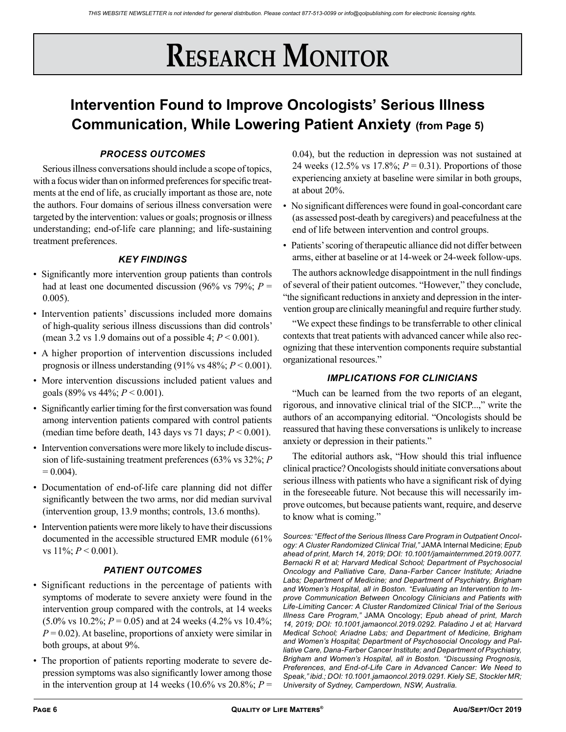# **RESEARCH MONITOR**

# **Intervention Found to Improve Oncologists' Serious Illness Communication, While Lowering Patient Anxiety (from Page 5)**

## *PROCESS OUTCOMES*

Serious illness conversations should include a scope of topics, with a focus wider than on informed preferences for specific treatments at the end of life, as crucially important as those are, note the authors. Four domains of serious illness conversation were targeted by the intervention: values or goals; prognosis or illness understanding; end-of-life care planning; and life-sustaining treatment preferences.

### *KEY FINDINGS*

- Significantly more intervention group patients than controls had at least one documented discussion (96% vs 79%;  $P =$ 0.005).
- Intervention patients' discussions included more domains of high-quality serious illness discussions than did controls' (mean 3.2 vs 1.9 domains out of a possible 4; *P* < 0.001).
- A higher proportion of intervention discussions included prognosis or illness understanding (91% vs 48%; *P* < 0.001).
- More intervention discussions included patient values and goals (89% vs 44%; *P* < 0.001).
- Significantly earlier timing for the first conversation was found among intervention patients compared with control patients (median time before death, 143 days vs 71 days;  $P < 0.001$ ).
- Intervention conversations were more likely to include discussion of life-sustaining treatment preferences (63% vs 32%; *P*   $= 0.004$ .
- Documentation of end-of-life care planning did not differ significantly between the two arms, nor did median survival (intervention group, 13.9 months; controls, 13.6 months).
- Intervention patients were more likely to have their discussions documented in the accessible structured EMR module (61% vs  $11\%$ ;  $P < 0.001$ ).

## *PATIENT OUTCOMES*

- Significant reductions in the percentage of patients with symptoms of moderate to severe anxiety were found in the intervention group compared with the controls, at 14 weeks  $(5.0\% \text{ vs } 10.2\%; P = 0.05)$  and at 24 weeks  $(4.2\% \text{ vs } 10.4\%);$  $P = 0.02$ ). At baseline, proportions of anxiety were similar in both groups, at about 9%.
- The proportion of patients reporting moderate to severe depression symptoms was also significantly lower among those in the intervention group at 14 weeks  $(10.6\% \text{ vs } 20.8\%; P =$

0.04), but the reduction in depression was not sustained at 24 weeks (12.5% vs 17.8%; *P* = 0.31). Proportions of those experiencing anxiety at baseline were similar in both groups, at about 20%.

- No significant differences were found in goal-concordant care (as assessed post-death by caregivers) and peacefulness at the end of life between intervention and control groups.
- Patients' scoring of therapeutic alliance did not differ between arms, either at baseline or at 14-week or 24-week follow-ups.

The authors acknowledge disappointment in the null findings of several of their patient outcomes. "However," they conclude, "the significant reductions in anxiety and depression in the intervention group are clinically meaningful and require further study.

"We expect these findings to be transferrable to other clinical contexts that treat patients with advanced cancer while also recognizing that these intervention components require substantial organizational resources."

## *IMPLICATIONS FOR CLINICIANS*

"Much can be learned from the two reports of an elegant, rigorous, and innovative clinical trial of the SICP...," write the authors of an accompanying editorial. "Oncologists should be reassured that having these conversations is unlikely to increase anxiety or depression in their patients."

The editorial authors ask, "How should this trial influence clinical practice? Oncologists should initiate conversations about serious illness with patients who have a significant risk of dying in the foreseeable future. Not because this will necessarily improve outcomes, but because patients want, require, and deserve to know what is coming."

*Sources: "Effect of the Serious Illness Care Program in Outpatient Oncology: A Cluster Randomized Clinical Trial,"* JAMA Internal Medicine; *Epub ahead of print, March 14, 2019; DOI: 10.1001/jamainternmed.2019.0077. Bernacki R et al; Harvard Medical School; Department of Psychosocial Oncology and Palliative Care, Dana-Farber Cancer Institute; Ariadne Labs; Department of Medicine; and Department of Psychiatry, Brigham and Women's Hospital, all in Boston. "Evaluating an Intervention to Improve Communication Between Oncology Clinicians and Patients with Life-Limiting Cancer: A Cluster Randomized Clinical Trial of the Serious Illness Care Program,"* JAMA Oncology; *Epub ahead of print, March 14, 2019; DOI: 10.1001.jamaoncol.2019.0292. Paladino J et al; Harvard Medical School; Ariadne Labs; and Department of Medicine, Brigham and Women's Hospital; Department of Psychosocial Oncology and Palliative Care, Dana-Farber Cancer Institute; and Department of Psychiatry, Brigham and Women's Hospital, all in Boston. "Discussing Prognosis, Preferences, and End-of-Life Care in Advanced Cancer: We Need to Speak," ibid.; DOI: 10.1001.jamaoncol.2019.0291. Kiely SE, Stockler MR; University of Sydney, Camperdown, NSW, Australia.*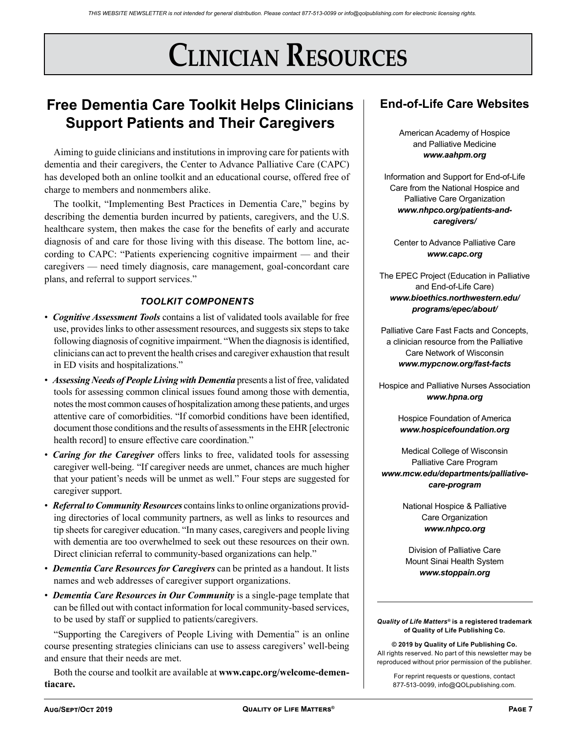# **Clinician Resources**

## **Free Dementia Care Toolkit Helps Clinicians Support Patients and Their Caregivers**

Aiming to guide clinicians and institutions in improving care for patients with dementia and their caregivers, the Center to Advance Palliative Care (CAPC) has developed both an online toolkit and an educational course, offered free of charge to members and nonmembers alike.

The toolkit, "Implementing Best Practices in Dementia Care," begins by describing the dementia burden incurred by patients, caregivers, and the U.S. healthcare system, then makes the case for the benefits of early and accurate diagnosis of and care for those living with this disease. The bottom line, according to CAPC: "Patients experiencing cognitive impairment — and their caregivers — need timely diagnosis, care management, goal-concordant care plans, and referral to support services."

## *TOOLKIT COMPONENTS*

- *Cognitive Assessment Tools* contains a list of validated tools available for free use, provides links to other assessment resources, and suggests six steps to take following diagnosis of cognitive impairment. "When the diagnosis is identified, clinicians can act to prevent the health crises and caregiver exhaustion that result in ED visits and hospitalizations."
- *Assessing Needs of People Living with Dementia* presents a list of free, validated tools for assessing common clinical issues found among those with dementia, notes the most common causes of hospitalization among these patients, and urges attentive care of comorbidities. "If comorbid conditions have been identified, document those conditions and the results of assessments in the EHR [electronic health record] to ensure effective care coordination."
- *Caring for the Caregiver* offers links to free, validated tools for assessing caregiver well-being. "If caregiver needs are unmet, chances are much higher that your patient's needs will be unmet as well." Four steps are suggested for caregiver support.
- *Referral to Community Resources* contains links to online organizations providing directories of local community partners, as well as links to resources and tip sheets for caregiver education. "In many cases, caregivers and people living with dementia are too overwhelmed to seek out these resources on their own. Direct clinician referral to community-based organizations can help."
- *Dementia Care Resources for Caregivers* can be printed as a handout. It lists names and web addresses of caregiver support organizations.
- *Dementia Care Resources in Our Community* is a single-page template that can be filled out with contact information for local community-based services, to be used by staff or supplied to patients/caregivers.

"Supporting the Caregivers of People Living with Dementia" is an online course presenting strategies clinicians can use to assess caregivers' well-being and ensure that their needs are met.

Both the course and toolkit are available at **www.capc.org/welcome-dementiacare.**

## **End-of-Life Care Websites**

American Academy of Hospice and Palliative Medicine *www.aahpm.org*

Information and Support for End-of-Life Care from the National Hospice and Palliative Care Organization *www.nhpco.org/patients-andcaregivers/*

Center to Advance Palliative Care *www.capc.org*

The EPEC Project (Education in Palliative and End-of-Life Care) *www.bioethics.northwestern.edu/ programs/epec/about/*

Palliative Care Fast Facts and Concepts, a clinician resource from the Palliative Care Network of Wisconsin *www.mypcnow.org/fast-facts*

Hospice and Palliative Nurses Association *www.hpna.org*

> Hospice Foundation of America *www.hospicefoundation.org*

Medical College of Wisconsin Palliative Care Program *www.mcw.edu/departments/palliativecare-program*

> National Hospice & Palliative Care Organization *www.nhpco.org*

Division of Palliative Care Mount Sinai Health System *www.stoppain.org*

*Quality of Life Matters®* **is a registered trademark of Quality of Life Publishing Co.** 

**© 2019 by Quality of Life Publishing Co.** All rights reserved. No part of this newsletter may be reproduced without prior permission of the publisher.

For reprint requests or questions, contact 877-513-0099, info@QOLpublishing.com.